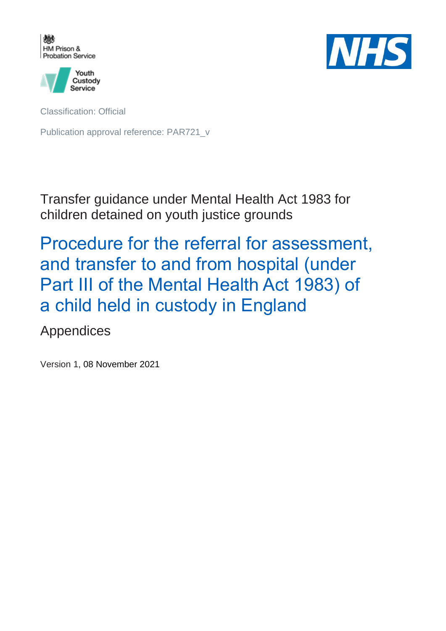



Classification: Official

Publication approval reference: PAR721\_v

Transfer guidance under Mental Health Act 1983 for children detained on youth justice grounds

Procedure for the referral for assessment, and transfer to and from hospital (under Part III of the Mental Health Act 1983) of a child held in custody in England

Appendices

Version 1, 08 November 2021

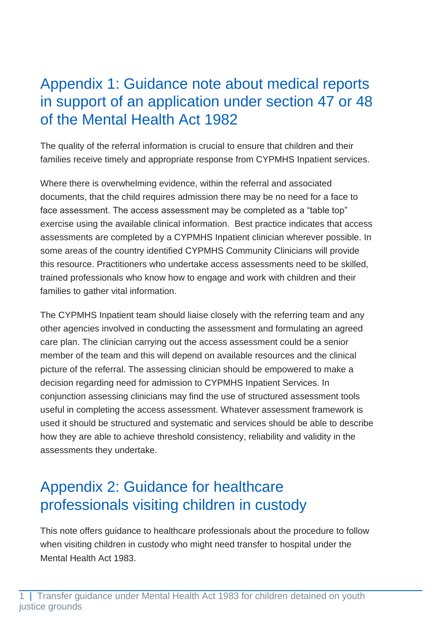## Appendix 1: Guidance note about medical reports in support of an application under section 47 or 48 of the Mental Health Act 1982

The quality of the referral information is crucial to ensure that children and their families receive timely and appropriate response from CYPMHS Inpatient services.

Where there is overwhelming evidence, within the referral and associated documents, that the child requires admission there may be no need for a face to face assessment. The access assessment may be completed as a "table top" exercise using the available clinical information. Best practice indicates that access assessments are completed by a CYPMHS Inpatient clinician wherever possible. In some areas of the country identified CYPMHS Community Clinicians will provide this resource. Practitioners who undertake access assessments need to be skilled, trained professionals who know how to engage and work with children and their families to gather vital information.

The CYPMHS Inpatient team should liaise closely with the referring team and any other agencies involved in conducting the assessment and formulating an agreed care plan. The clinician carrying out the access assessment could be a senior member of the team and this will depend on available resources and the clinical picture of the referral. The assessing clinician should be empowered to make a decision regarding need for admission to CYPMHS Inpatient Services. In conjunction assessing clinicians may find the use of structured assessment tools useful in completing the access assessment. Whatever assessment framework is used it should be structured and systematic and services should be able to describe how they are able to achieve threshold consistency, reliability and validity in the assessments they undertake.

## Appendix 2: Guidance for healthcare professionals visiting children in custody

This note offers guidance to healthcare professionals about the procedure to follow when visiting children in custody who might need transfer to hospital under the Mental Health Act 1983.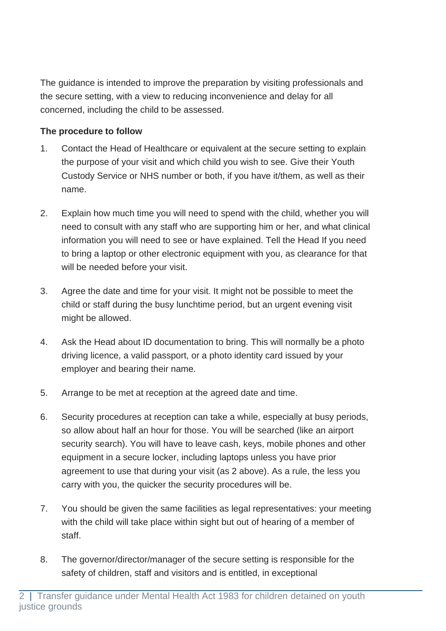The guidance is intended to improve the preparation by visiting professionals and the secure setting, with a view to reducing inconvenience and delay for all concerned, including the child to be assessed.

### **The procedure to follow**

- 1. Contact the Head of Healthcare or equivalent at the secure setting to explain the purpose of your visit and which child you wish to see. Give their Youth Custody Service or NHS number or both, if you have it/them, as well as their name.
- 2. Explain how much time you will need to spend with the child, whether you will need to consult with any staff who are supporting him or her, and what clinical information you will need to see or have explained. Tell the Head If you need to bring a laptop or other electronic equipment with you, as clearance for that will be needed before your visit.
- 3. Agree the date and time for your visit. It might not be possible to meet the child or staff during the busy lunchtime period, but an urgent evening visit might be allowed.
- 4. Ask the Head about ID documentation to bring. This will normally be a photo driving licence, a valid passport, or a photo identity card issued by your employer and bearing their name.
- 5. Arrange to be met at reception at the agreed date and time.
- 6. Security procedures at reception can take a while, especially at busy periods, so allow about half an hour for those. You will be searched (like an airport security search). You will have to leave cash, keys, mobile phones and other equipment in a secure locker, including laptops unless you have prior agreement to use that during your visit (as 2 above). As a rule, the less you carry with you, the quicker the security procedures will be.
- 7. You should be given the same facilities as legal representatives: your meeting with the child will take place within sight but out of hearing of a member of staff.
- 8. The governor/director/manager of the secure setting is responsible for the safety of children, staff and visitors and is entitled, in exceptional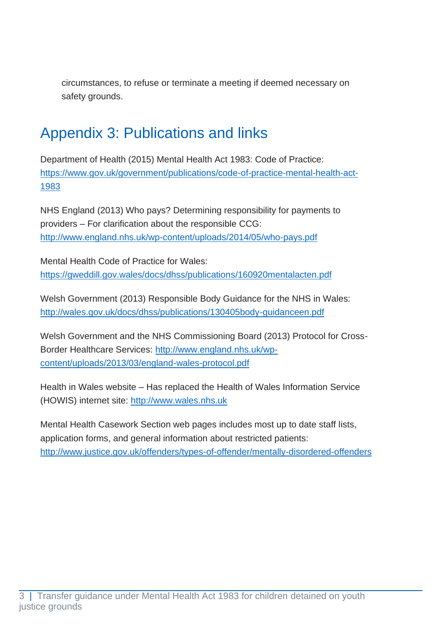circumstances, to refuse or terminate a meeting if deemed necessary on safety grounds.

## Appendix 3: Publications and links

Department of Health (2015) Mental Health Act 1983: Code of Practice: [https://www.gov.uk/government/publications/code-of-practice-mental-health-act-](https://www.gov.uk/government/publications/code-of-practice-mental-health-act-1983)[1983](https://www.gov.uk/government/publications/code-of-practice-mental-health-act-1983)

NHS England (2013) Who pays? Determining responsibility for payments to providers – For clarification about the responsible CCG: <http://www.england.nhs.uk/wp-content/uploads/2014/05/who-pays.pdf>

Mental Health Code of Practice for Wales: <https://gweddill.gov.wales/docs/dhss/publications/160920mentalacten.pdf>

Welsh Government (2013) Responsible Body Guidance for the NHS in Wales: <http://wales.gov.uk/docs/dhss/publications/130405body-guidanceen.pdf>

Welsh Government and the NHS Commissioning Board (2013) Protocol for Cross-Border Healthcare Services: [http://www.england.nhs.uk/wp](http://www.england.nhs.uk/wp-content/uploads/2013/03/england-wales-protocol.pdf)[content/uploads/2013/03/england-wales-protocol.pdf](http://www.england.nhs.uk/wp-content/uploads/2013/03/england-wales-protocol.pdf)

Health in Wales website – Has replaced the Health of Wales Information Service (HOWIS) internet site: [http://www.wales.nhs.uk](http://www.wales.nhs.uk/)

Mental Health Casework Section web pages includes most up to date staff lists, application forms, and general information about restricted patients: <http://www.justice.gov.uk/offenders/types-of-offender/mentally-disordered-offenders>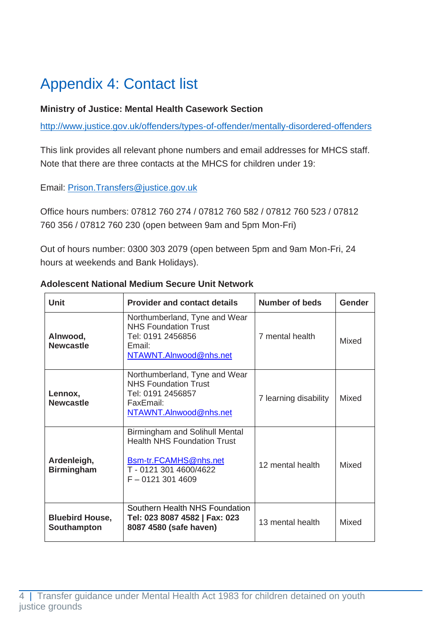# Appendix 4: Contact list

### **Ministry of Justice: Mental Health Casework Section**

<http://www.justice.gov.uk/offenders/types-of-offender/mentally-disordered-offenders>

This link provides all relevant phone numbers and email addresses for MHCS staff. Note that there are three contacts at the MHCS for children under 19:

Email: [Prison.Transfers@justice.gov.uk](mailto:Prison.Transfers@justice.gov.uk)

Office hours numbers: 07812 760 274 / 07812 760 582 / 07812 760 523 / 07812 760 356 / 07812 760 230 (open between 9am and 5pm Mon-Fri)

Out of hours number: 0300 303 2079 (open between 5pm and 9am Mon-Fri, 24 hours at weekends and Bank Holidays).

| Unit                                  | <b>Provider and contact details</b>                                                                                                               | Number of beds        | Gender       |
|---------------------------------------|---------------------------------------------------------------------------------------------------------------------------------------------------|-----------------------|--------------|
| Alnwood,<br><b>Newcastle</b>          | Northumberland, Tyne and Wear<br><b>NHS Foundation Trust</b><br>Tel: 0191 2456856<br>Email:<br>NTAWNT.AInwood@nhs.net                             | 7 mental health       | Mixed        |
| Lennox,<br><b>Newcastle</b>           | Northumberland, Tyne and Wear<br><b>NHS Foundation Trust</b><br>Tel: 0191 2456857<br>FaxEmail:<br>NTAWNT.AInwood@nhs.net                          | 7 learning disability | <b>Mixed</b> |
| Ardenleigh,<br><b>Birmingham</b>      | <b>Birmingham and Solihull Mental</b><br><b>Health NHS Foundation Trust</b><br>Bsm-tr.FCAMHS@nhs.net<br>T-0121 301 4600/4622<br>$F - 01213014609$ | 12 mental health      | Mixed        |
| <b>Bluebird House,</b><br>Southampton | Southern Health NHS Foundation<br>Tel: 023 8087 4582   Fax: 023<br>8087 4580 (safe haven)                                                         | 13 mental health      | Mixed        |

#### **Adolescent National Medium Secure Unit Network**